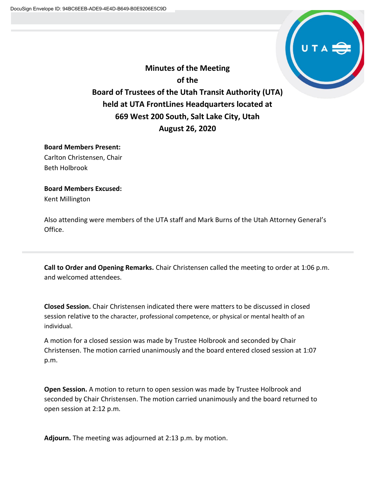

**Minutes of the Meeting of the Board of Trustees of the Utah Transit Authority (UTA) held at UTA FrontLines Headquarters located at 669 West 200 South, Salt Lake City, Utah August 26, 2020**

## **Board Members Present:**

Carlton Christensen, Chair Beth Holbrook

## **Board Members Excused:**

Kent Millington

Also attending were members of the UTA staff and Mark Burns of the Utah Attorney General's Office.

**Call to Order and Opening Remarks.** Chair Christensen called the meeting to order at 1:06 p.m. and welcomed attendees.

**Closed Session.** Chair Christensen indicated there were matters to be discussed in closed session relative to the character, professional competence, or physical or mental health of an individual.

A motion for a closed session was made by Trustee Holbrook and seconded by Chair Christensen. The motion carried unanimously and the board entered closed session at 1:07 p.m.

**Open Session.** A motion to return to open session was made by Trustee Holbrook and seconded by Chair Christensen. The motion carried unanimously and the board returned to open session at 2:12 p.m.

**Adjourn.** The meeting was adjourned at 2:13 p.m. by motion.